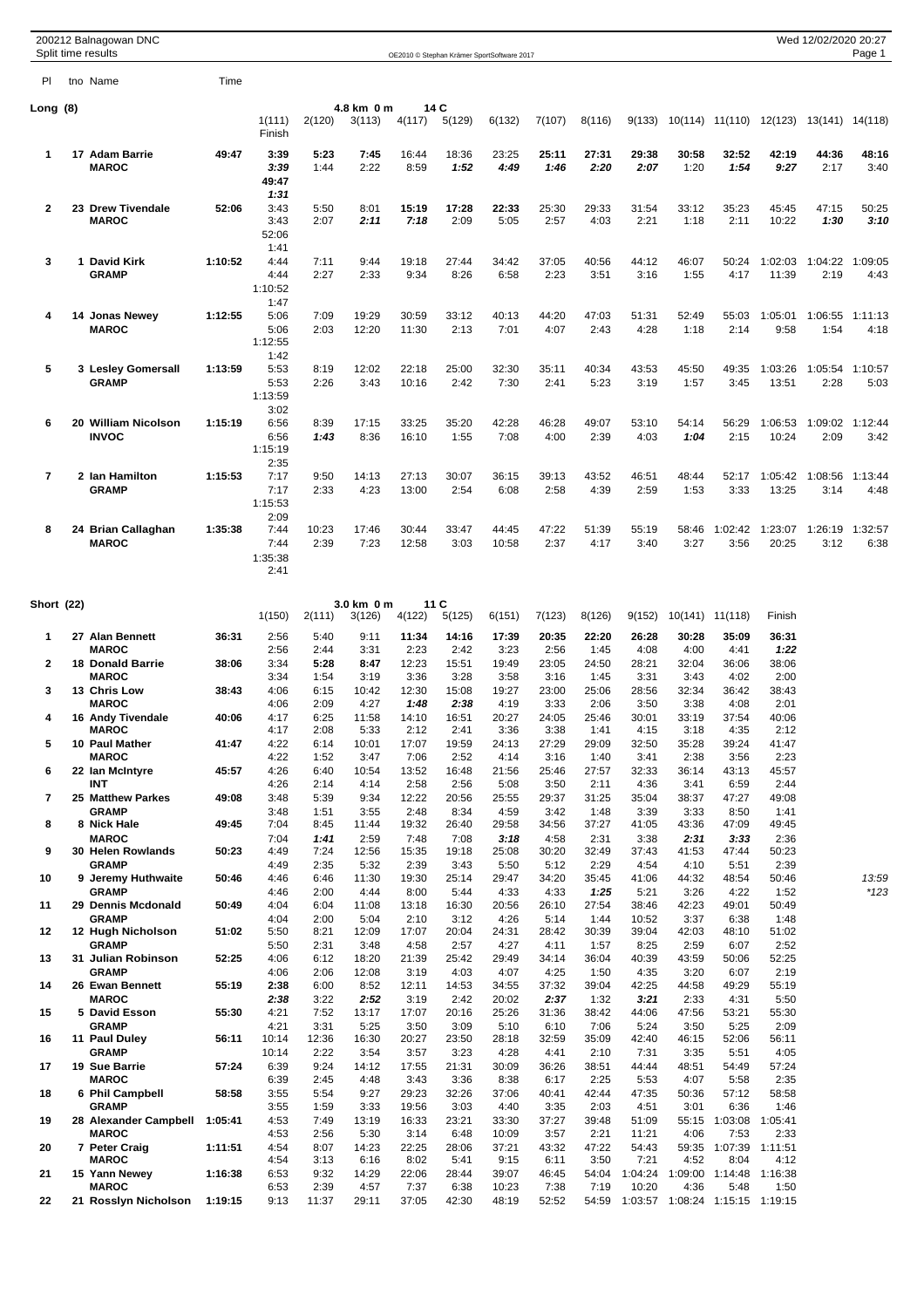|                   | 200212 Balnagowan DNC<br>Split time results |         |                                 |               |                      |                |                | OE2010 © Stephan Krämer SportSoftware 2017 |               |               |                                                |                 |                       |                  | Wed 12/02/2020 20:27    | Page 1          |
|-------------------|---------------------------------------------|---------|---------------------------------|---------------|----------------------|----------------|----------------|--------------------------------------------|---------------|---------------|------------------------------------------------|-----------------|-----------------------|------------------|-------------------------|-----------------|
| PI.               | tno Name                                    | Time    |                                 |               |                      |                |                |                                            |               |               |                                                |                 |                       |                  |                         |                 |
| Long (8)          |                                             |         | 1(111)<br>Finish                | 2(120)        | 4.8 km 0 m<br>3(113) | 4(117)         | 14 C<br>5(129) | 6(132)                                     | 7(107)        | 8(116)        | 9(133)                                         |                 | 10(114) 11(110)       |                  | 12(123) 13(141) 14(118) |                 |
| 1                 | 17 Adam Barrie<br><b>MAROC</b>              | 49:47   | 3:39<br>3:39<br>49:47<br>1:31   | 5:23<br>1:44  | 7:45<br>2:22         | 16:44<br>8:59  | 18:36<br>1:52  | 23:25<br>4:49                              | 25:11<br>1:46 | 27:31<br>2:20 | 29:38<br>2:07                                  | 30:58<br>1:20   | 32:52<br>1:54         | 42:19<br>9:27    | 44:36<br>2:17           | 48:16<br>3:40   |
| $\mathbf{2}$      | 23 Drew Tivendale<br><b>MAROC</b>           | 52:06   | 3:43<br>3:43<br>52:06<br>1:41   | 5:50<br>2:07  | 8:01<br>2:11         | 15:19<br>7:18  | 17:28<br>2:09  | 22:33<br>5:05                              | 25:30<br>2:57 | 29:33<br>4:03 | 31:54<br>2:21                                  | 33:12<br>1:18   | 35:23<br>2:11         | 45:45<br>10:22   | 47:15<br>1:30           | 50:25<br>3:10   |
| 3                 | 1 David Kirk<br><b>GRAMP</b>                | 1:10:52 | 4:44<br>4:44<br>1:10:52<br>1:47 | 7:11<br>2:27  | 9:44<br>2:33         | 19:18<br>9:34  | 27:44<br>8:26  | 34:42<br>6:58                              | 37:05<br>2:23 | 40:56<br>3:51 | 44:12<br>3:16                                  | 46:07<br>1:55   | 50:24<br>4:17         | 1:02:03<br>11:39 | 1:04:22<br>2:19         | 1:09:05<br>4:43 |
| 4                 | 14 Jonas Newey<br><b>MAROC</b>              | 1:12:55 | 5:06<br>5:06<br>1:12:55<br>1:42 | 7:09<br>2:03  | 19:29<br>12:20       | 30:59<br>11:30 | 33:12<br>2:13  | 40:13<br>7:01                              | 44:20<br>4:07 | 47:03<br>2:43 | 51:31<br>4:28                                  | 52:49<br>1:18   | 55:03<br>2:14         | 1:05:01<br>9:58  | 1:06:55<br>1:54         | 1:11:13<br>4:18 |
| 5                 | 3 Lesley Gomersall<br><b>GRAMP</b>          | 1:13:59 | 5:53<br>5:53<br>1:13:59<br>3:02 | 8:19<br>2:26  | 12:02<br>3:43        | 22:18<br>10:16 | 25:00<br>2:42  | 32:30<br>7:30                              | 35:11<br>2:41 | 40:34<br>5:23 | 43:53<br>3:19                                  | 45:50<br>1:57   | 49:35<br>3:45         | 1:03:26<br>13:51 | 1:05:54<br>2:28         | 1:10:57<br>5:03 |
| 6                 | 20 William Nicolson<br><b>INVOC</b>         | 1:15:19 | 6:56<br>6:56<br>1:15:19<br>2:35 | 8:39<br>1:43  | 17:15<br>8:36        | 33:25<br>16:10 | 35:20<br>1:55  | 42:28<br>7:08                              | 46:28<br>4:00 | 49:07<br>2:39 | 53:10<br>4:03                                  | 54:14<br>1:04   | 56:29<br>2:15         | 1:06:53<br>10:24 | 1:09:02<br>2:09         | 1:12:44<br>3:42 |
| 7                 | 2 Ian Hamilton<br><b>GRAMP</b>              | 1:15:53 | 7:17<br>7:17<br>1:15:53<br>2:09 | 9:50<br>2:33  | 14:13<br>4:23        | 27:13<br>13:00 | 30:07<br>2:54  | 36:15<br>6:08                              | 39:13<br>2:58 | 43:52<br>4:39 | 46:51<br>2:59                                  | 48:44<br>1:53   | 52:17<br>3:33         | 1:05:42<br>13:25 | 1:08:56<br>3:14         | 1:13:44<br>4:48 |
| 8                 | 24 Brian Callaghan<br><b>MAROC</b>          | 1:35:38 | 7:44<br>7:44<br>1:35:38<br>2:41 | 10:23<br>2:39 | 17:46<br>7:23        | 30:44<br>12:58 | 33:47<br>3:03  | 44:45<br>10:58                             | 47:22<br>2:37 | 51:39<br>4:17 | 55:19<br>3:40                                  | 58:46<br>3:27   | 1:02:42<br>3:56       | 1:23:07<br>20:25 | 1:26:19<br>3:12         | 1:32:57<br>6:38 |
| <b>Short (22)</b> |                                             |         | 1(150)                          | 2(111)        | 3.0 km 0 m<br>3(126) | 4(122)         | 11 C<br>5(125) | 6(151)                                     | 7(123)        | 8(126)        | 9(152)                                         | 10(141) 11(118) |                       | Finish           |                         |                 |
| 1                 | 27 Alan Bennett                             | 36:31   | 2:56                            | 5:40          | 9:11                 | 11:34          | 14:16          | 17:39                                      | 20:35         | 22:20         | 26:28                                          | 30:28           | 35:09                 | 36:31            |                         |                 |
| $\mathbf{2}$      | <b>MAROC</b><br><b>18 Donald Barrie</b>     | 38:06   | 2:56<br>3:34                    | 2:44<br>5:28  | 3:31<br>8:47         | 2:23<br>12:23  | 2:42<br>15:51  | 3:23<br>19:49                              | 2:56<br>23:05 | 1:45<br>24:50 | 4:08<br>28:21                                  | 4:00<br>32:04   | 4:41<br>36:06         | 1:22<br>38:06    |                         |                 |
| 3                 | <b>MAROC</b><br>13 Chris Low                | 38:43   | 3:34<br>4:06                    | 1:54<br>6:15  | 3:19<br>10:42        | 3:36<br>12:30  | 3:28<br>15:08  | 3:58<br>19:27                              | 3:16<br>23:00 | 1:45<br>25:06 | 3:31<br>28:56                                  | 3:43<br>32:34   | 4:02<br>36:42         | 2:00<br>38:43    |                         |                 |
|                   | <b>MAROC</b>                                |         | 4:06                            | 2:09          | 4:27                 | 1:48           | 2:38           | 4:19                                       | 3:33          | 2:06          | 3:50                                           | 3:38            | 4:08                  | 2:01             |                         |                 |
| 4                 | 16 Andy Tivendale<br><b>MAROC</b>           | 40:06   | 4:17<br>4:17                    | 6:25<br>2:08  | 11:58<br>5:33        | 14:10<br>2:12  | 16:51<br>2:41  | 20:27<br>3:36                              | 24:05<br>3:38 | 25:46<br>1:41 | 30:01<br>4:15                                  | 33:19<br>3:18   | 37:54<br>4:35         | 40:06<br>2:12    |                         |                 |
| 5                 | 10 Paul Mather<br><b>MAROC</b>              | 41:47   | 4:22<br>4:22                    | 6:14<br>1:52  | 10:01<br>3:47        | 17:07<br>7:06  | 19:59<br>2:52  | 24:13<br>4:14                              | 27:29<br>3:16 | 29:09<br>1:40 | 32:50<br>3:41                                  | 35:28<br>2:38   | 39:24<br>3:56         | 41:47<br>2:23    |                         |                 |
| 6                 | 22 Ian McIntyre                             | 45:57   | 4:26                            | 6:40          | 10:54                | 13:52          | 16:48          | 21:56                                      | 25:46         | 27:57         | 32:33                                          | 36:14           | 43:13                 | 45:57            |                         |                 |
| 7                 | INT<br>25 Matthew Parkes                    | 49:08   | 4:26<br>3:48                    | 2:14<br>5:39  | 4:14<br>9:34         | 2:58<br>12:22  | 2:56<br>20:56  | 5:08<br>25:55                              | 3:50<br>29:37 | 2:11<br>31:25 | 4:36<br>35:04                                  | 3:41<br>38:37   | 6:59<br>47:27         | 2:44<br>49:08    |                         |                 |
| 8                 | <b>GRAMP</b><br>8 Nick Hale                 | 49:45   | 3:48<br>7:04                    | 1:51<br>8:45  | 3:55<br>11:44        | 2:48<br>19:32  | 8:34<br>26:40  | 4:59<br>29:58                              | 3:42<br>34:56 | 1:48<br>37:27 | 3:39<br>41:05                                  | 3:33<br>43:36   | 8:50<br>47:09         | 1:41<br>49:45    |                         |                 |
|                   | <b>MAROC</b>                                |         | 7:04                            | 1:41          | 2:59                 | 7:48           | 7:08           | 3:18                                       | 4:58          | 2:31          | 3:38                                           | 2:31            | 3:33                  | 2:36             |                         |                 |
| 9                 | 30 Helen Rowlands<br><b>GRAMP</b>           | 50:23   | 4:49<br>4:49                    | 7:24<br>2:35  | 12:56<br>5:32        | 15:35<br>2:39  | 19:18<br>3:43  | 25:08<br>5:50                              | 30:20<br>5:12 | 32:49<br>2:29 | 37:43<br>4:54                                  | 41:53<br>4:10   | 47:44<br>5:51         | 50:23<br>2:39    |                         |                 |
| 10                | 9 Jeremy Huthwaite<br><b>GRAMP</b>          | 50:46   | 4:46<br>4:46                    | 6:46<br>2:00  | 11:30<br>4:44        | 19:30<br>8:00  | 25:14<br>5:44  | 29:47<br>4:33                              | 34:20<br>4:33 | 35:45<br>1:25 | 41:06<br>5:21                                  | 44:32<br>3:26   | 48:54<br>4:22         | 50:46<br>1:52    |                         | 13:59<br>*123   |
| 11                | 29 Dennis Mcdonald<br><b>GRAMP</b>          | 50:49   | 4:04                            | 6:04          | 11:08                | 13:18          | 16:30          | 20:56                                      | 26:10         | 27:54         | 38:46                                          | 42:23           | 49:01                 | 50:49            |                         |                 |
| 12                | 12 Hugh Nicholson                           | 51:02   | 4:04<br>5:50                    | 2:00<br>8:21  | 5:04<br>12:09        | 2:10<br>17:07  | 3:12<br>20:04  | 4:26<br>24:31                              | 5:14<br>28:42 | 1:44<br>30:39 | 10:52<br>39:04                                 | 3:37<br>42:03   | 6:38<br>48:10         | 1:48<br>51:02    |                         |                 |
| 13                | <b>GRAMP</b><br>31 Julian Robinson          | 52:25   | 5:50<br>4:06                    | 2:31<br>6:12  | 3:48<br>18:20        | 4:58<br>21:39  | 2:57<br>25:42  | 4:27<br>29:49                              | 4:11<br>34:14 | 1:57<br>36:04 | 8:25<br>40:39                                  | 2:59<br>43:59   | 6:07<br>50:06         | 2:52<br>52:25    |                         |                 |
| 14                | <b>GRAMP</b><br>26 Ewan Bennett             | 55:19   | 4:06<br>2:38                    | 2:06<br>6:00  | 12:08<br>8:52        | 3:19<br>12:11  | 4:03<br>14:53  | 4:07<br>34:55                              | 4:25<br>37:32 | 1:50<br>39:04 | 4:35<br>42:25                                  | 3:20<br>44:58   | 6:07<br>49:29         | 2:19<br>55:19    |                         |                 |
| 15                | <b>MAROC</b><br>5 David Esson               | 55:30   | 2:38<br>4:21                    | 3:22<br>7:52  | 2:52<br>13:17        | 3:19<br>17:07  | 2:42<br>20:16  | 20:02<br>25:26                             | 2:37<br>31:36 | 1:32<br>38:42 | 3:21<br>44:06                                  | 2:33<br>47:56   | 4:31<br>53:21         | 5:50<br>55:30    |                         |                 |
| 16                | <b>GRAMP</b><br>11 Paul Duley               | 56:11   | 4:21<br>10:14                   | 3:31<br>12:36 | 5:25<br>16:30        | 3:50<br>20:27  | 3:09<br>23:50  | 5:10<br>28:18                              | 6:10<br>32:59 | 7:06<br>35:09 | 5:24<br>42:40                                  | 3:50<br>46:15   | 5:25<br>52:06         | 2:09<br>56:11    |                         |                 |
| 17                | <b>GRAMP</b><br>19 Sue Barrie               | 57:24   | 10:14<br>6:39                   | 2:22<br>9:24  | 3:54<br>14:12        | 3:57<br>17:55  | 3:23<br>21:31  | 4:28<br>30:09                              | 4:41<br>36:26 | 2:10<br>38:51 | 7:31<br>44:44                                  | 3:35<br>48:51   | 5:51<br>54:49         | 4:05<br>57:24    |                         |                 |
|                   | <b>MAROC</b>                                |         | 6:39                            | 2:45          | 4:48                 | 3:43           | 3:36           | 8:38                                       | 6:17          | 2:25          | 5:53                                           | 4:07            | 5:58                  | 2:35             |                         |                 |
| 18                | 6 Phil Campbell<br><b>GRAMP</b>             | 58:58   | 3:55<br>3:55                    | 5:54<br>1:59  | 9:27<br>3:33         | 29:23<br>19:56 | 32:26<br>3:03  | 37:06<br>4:40                              | 40:41<br>3:35 | 42:44<br>2:03 | 47:35<br>4:51                                  | 50:36<br>3:01   | 57:12<br>6:36         | 58:58<br>1:46    |                         |                 |
| 19                | 28 Alexander Campbell<br><b>MAROC</b>       | 1:05:41 | 4:53<br>4:53                    | 7:49<br>2:56  | 13:19<br>5:30        | 16:33<br>3:14  | 23:21<br>6:48  | 33:30<br>10:09                             | 37:27<br>3:57 | 39:48<br>2:21 | 51:09<br>11:21                                 | 4:06            | 55:15 1:03:08<br>7:53 | 1:05:41<br>2:33  |                         |                 |
| 20                | 7 Peter Craig<br><b>MAROC</b>               | 1:11:51 | 4:54<br>4:54                    | 8:07<br>3:13  | 14:23<br>6:16        | 22:25<br>8:02  | 28:06<br>5:41  | 37:21<br>9:15                              | 43:32<br>6:11 | 47:22<br>3:50 | 54:43<br>7:21                                  | 59:35<br>4:52   | 1:07:39<br>8:04       | 1:11:51<br>4:12  |                         |                 |
| 21                | 15 Yann Newey                               | 1:16:38 | 6:53                            | 9:32          | 14:29                | 22:06          | 28:44          | 39:07                                      | 46:45         | 54:04         | 1:04:24                                        | 1:09:00         | 1:14:48               | 1:16:38          |                         |                 |
| 22                | <b>MAROC</b><br>21 Rosslyn Nicholson        | 1:19:15 | 6:53<br>9:13                    | 2:39<br>11:37 | 4:57<br>29:11        | 7:37<br>37:05  | 6:38<br>42:30  | 10:23<br>48:19                             | 7:38<br>52:52 | 7:19          | 10:20<br>54:59 1:03:57 1:08:24 1:15:15 1:19:15 | 4:36            | 5:48                  | 1:50             |                         |                 |